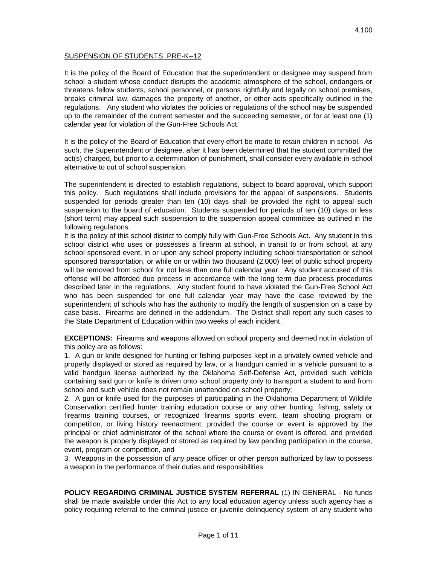## SUSPENSION OF STUDENTS PRE-K--12

It is the policy of the Board of Education that the superintendent or designee may suspend from school a student whose conduct disrupts the academic atmosphere of the school, endangers or threatens fellow students, school personnel, or persons rightfully and legally on school premises, breaks criminal law, damages the property of another, or other acts specifically outlined in the regulations. Any student who violates the policies or regulations of the school may be suspended up to the remainder of the current semester and the succeeding semester, or for at least one (1) calendar year for violation of the Gun-Free Schools Act.

It is the policy of the Board of Education that every effort be made to retain children in school. As such, the Superintendent or designee, after it has been determined that the student committed the act(s) charged, but prior to a determination of punishment, shall consider every available in-school alternative to out of school suspension.

The superintendent is directed to establish regulations, subject to board approval, which support this policy. Such regulations shall include provisions for the appeal of suspensions. Students suspended for periods greater than ten (10) days shall be provided the right to appeal such suspension to the board of education. Students suspended for periods of ten (10) days or less (short term) may appeal such suspension to the suspension appeal committee as outlined in the following regulations.

It is the policy of this school district to comply fully with Gun-Free Schools Act. Any student in this school district who uses or possesses a firearm at school, in transit to or from school, at any school sponsored event, in or upon any school property including school transportation or school sponsored transportation, or while on or within two thousand (2,000) feet of public school property will be removed from school for not less than one full calendar year. Any student accused of this offense will be afforded due process in accordance with the long term due process procedures described later in the regulations. Any student found to have violated the Gun-Free School Act who has been suspended for one full calendar year may have the case reviewed by the superintendent of schools who has the authority to modify the length of suspension on a case by case basis. Firearms are defined in the addendum. The District shall report any such cases to the State Department of Education within two weeks of each incident.

**EXCEPTIONS:** Firearms and weapons allowed on school property and deemed not in violation of this policy are as follows:

1. A gun or knife designed for hunting or fishing purposes kept in a privately owned vehicle and properly displayed or stored as required by law, or a handgun carried in a vehicle pursuant to a valid handgun license authorized by the Oklahoma Self-Defense Act, provided such vehicle containing said gun or knife is driven onto school property only to transport a student to and from school and such vehicle does not remain unattended on school property;

2. A gun or knife used for the purposes of participating in the Oklahoma Department of Wildlife Conservation certified hunter training education course or any other hunting, fishing, safety or firearms training courses, or recognized firearms sports event, team shooting program or competition, or living history reenactment, provided the course or event is approved by the principal or chief administrator of the school where the course or event is offered, and provided the weapon is properly displayed or stored as required by law pending participation in the course, event, program or competition, and

3. Weapons in the possession of any peace officer or other person authorized by law to possess a weapon in the performance of their duties and responsibilities.

**POLICY REGARDING CRIMINAL JUSTICE SYSTEM REFERRAL** (1) IN GENERAL - No funds shall be made available under this Act to any local education agency unless such agency has a policy requiring referral to the criminal justice or juvenile delinquency system of any student who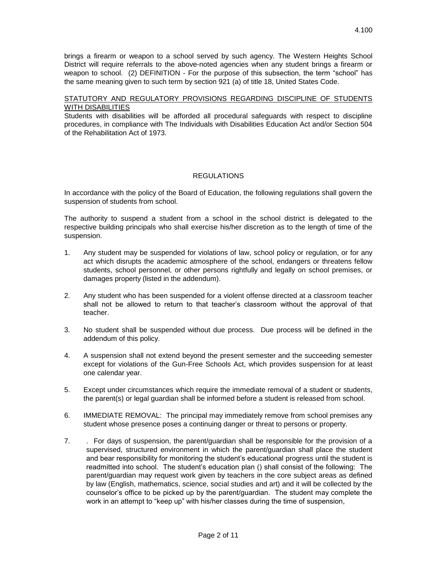4.100

District will require referrals to the above-noted agencies when any student brings a firearm or weapon to school. (2) DEFINITION - For the purpose of this subsection, the term "school" has the same meaning given to such term by section 921 (a) of title 18, United States Code.

# STATUTORY AND REGULATORY PROVISIONS REGARDING DISCIPLINE OF STUDENTS WITH DISABILITIES

Students with disabilities will be afforded all procedural safeguards with respect to discipline procedures, in compliance with The Individuals with Disabilities Education Act and/or Section 504 of the Rehabilitation Act of 1973.

# **REGULATIONS**

In accordance with the policy of the Board of Education, the following regulations shall govern the suspension of students from school.

The authority to suspend a student from a school in the school district is delegated to the respective building principals who shall exercise his/her discretion as to the length of time of the suspension.

- 1. Any student may be suspended for violations of law, school policy or regulation, or for any act which disrupts the academic atmosphere of the school, endangers or threatens fellow students, school personnel, or other persons rightfully and legally on school premises, or damages property (listed in the addendum).
- 2. Any student who has been suspended for a violent offense directed at a classroom teacher shall not be allowed to return to that teacher's classroom without the approval of that teacher.
- 3. No student shall be suspended without due process. Due process will be defined in the addendum of this policy.
- 4. A suspension shall not extend beyond the present semester and the succeeding semester except for violations of the Gun-Free Schools Act, which provides suspension for at least one calendar year.
- 5. Except under circumstances which require the immediate removal of a student or students, the parent(s) or legal guardian shall be informed before a student is released from school.
- 6. IMMEDIATE REMOVAL: The principal may immediately remove from school premises any student whose presence poses a continuing danger or threat to persons or property.
- 7. . For days of suspension, the parent/guardian shall be responsible for the provision of a supervised, structured environment in which the parent/guardian shall place the student and bear responsibility for monitoring the student's educational progress until the student is readmitted into school. The student's education plan () shall consist of the following: The parent/guardian may request work given by teachers in the core subject areas as defined by law (English, mathematics, science, social studies and art) and it will be collected by the counselor's office to be picked up by the parent/guardian. The student may complete the work in an attempt to "keep up" with his/her classes during the time of suspension,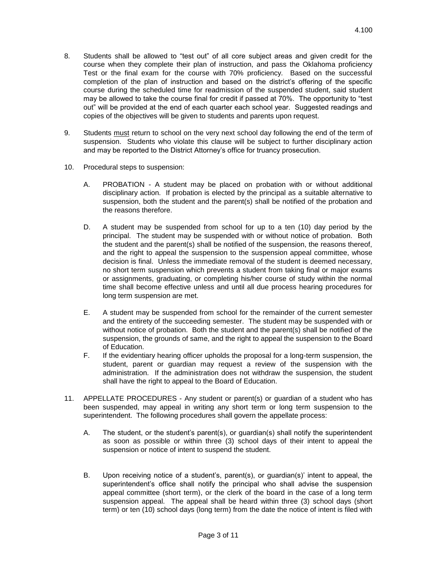- 8. Students shall be allowed to "test out" of all core subject areas and given credit for the course when they complete their plan of instruction, and pass the Oklahoma proficiency Test or the final exam for the course with 70% proficiency. Based on the successful completion of the plan of instruction and based on the district's offering of the specific course during the scheduled time for readmission of the suspended student, said student may be allowed to take the course final for credit if passed at 70%. The opportunity to "test out" will be provided at the end of each quarter each school year. Suggested readings and copies of the objectives will be given to students and parents upon request.
- 9. Students must return to school on the very next school day following the end of the term of suspension. Students who violate this clause will be subject to further disciplinary action and may be reported to the District Attorney's office for truancy prosecution.
- 10. Procedural steps to suspension:
	- A. PROBATION A student may be placed on probation with or without additional disciplinary action. If probation is elected by the principal as a suitable alternative to suspension, both the student and the parent(s) shall be notified of the probation and the reasons therefore.
	- D. A student may be suspended from school for up to a ten (10) day period by the principal. The student may be suspended with or without notice of probation. Both the student and the parent(s) shall be notified of the suspension, the reasons thereof, and the right to appeal the suspension to the suspension appeal committee, whose decision is final. Unless the immediate removal of the student is deemed necessary, no short term suspension which prevents a student from taking final or major exams or assignments, graduating, or completing his/her course of study within the normal time shall become effective unless and until all due process hearing procedures for long term suspension are met.
	- E. A student may be suspended from school for the remainder of the current semester and the entirety of the succeeding semester. The student may be suspended with or without notice of probation. Both the student and the parent(s) shall be notified of the suspension, the grounds of same, and the right to appeal the suspension to the Board of Education.
	- F. If the evidentiary hearing officer upholds the proposal for a long-term suspension, the student, parent or guardian may request a review of the suspension with the administration. If the administration does not withdraw the suspension, the student shall have the right to appeal to the Board of Education.
- 11. APPELLATE PROCEDURES Any student or parent(s) or guardian of a student who has been suspended, may appeal in writing any short term or long term suspension to the superintendent. The following procedures shall govern the appellate process:
	- A. The student, or the student's parent(s), or guardian(s) shall notify the superintendent as soon as possible or within three (3) school days of their intent to appeal the suspension or notice of intent to suspend the student.
	- B. Upon receiving notice of a student's, parent(s), or guardian(s)' intent to appeal, the superintendent's office shall notify the principal who shall advise the suspension appeal committee (short term), or the clerk of the board in the case of a long term suspension appeal. The appeal shall be heard within three (3) school days (short term) or ten (10) school days (long term) from the date the notice of intent is filed with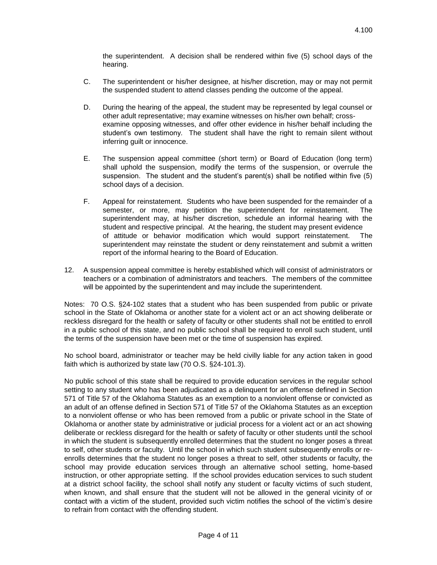the superintendent. A decision shall be rendered within five (5) school days of the hearing.

- C. The superintendent or his/her designee, at his/her discretion, may or may not permit the suspended student to attend classes pending the outcome of the appeal.
- D. During the hearing of the appeal, the student may be represented by legal counsel or other adult representative; may examine witnesses on his/her own behalf; crossexamine opposing witnesses, and offer other evidence in his/her behalf including the student's own testimony. The student shall have the right to remain silent without inferring guilt or innocence.
- E. The suspension appeal committee (short term) or Board of Education (long term) shall uphold the suspension, modify the terms of the suspension, or overrule the suspension. The student and the student's parent(s) shall be notified within five (5) school days of a decision.
- F. Appeal for reinstatement. Students who have been suspended for the remainder of a semester, or more, may petition the superintendent for reinstatement. The superintendent may, at his/her discretion, schedule an informal hearing with the student and respective principal. At the hearing, the student may present evidence of attitude or behavior modification which would support reinstatement. The superintendent may reinstate the student or deny reinstatement and submit a written report of the informal hearing to the Board of Education.
- 12. A suspension appeal committee is hereby established which will consist of administrators or teachers or a combination of administrators and teachers. The members of the committee will be appointed by the superintendent and may include the superintendent.

Notes: 70 O.S. §24-102 states that a student who has been suspended from public or private school in the State of Oklahoma or another state for a violent act or an act showing deliberate or reckless disregard for the health or safety of faculty or other students shall not be entitled to enroll in a public school of this state, and no public school shall be required to enroll such student, until the terms of the suspension have been met or the time of suspension has expired.

No school board, administrator or teacher may be held civilly liable for any action taken in good faith which is authorized by state law (70 O.S. §24-101.3).

No public school of this state shall be required to provide education services in the regular school setting to any student who has been adjudicated as a delinquent for an offense defined in Section 571 of Title 57 of the Oklahoma Statutes as an exemption to a nonviolent offense or convicted as an adult of an offense defined in Section 571 of Title 57 of the Oklahoma Statutes as an exception to a nonviolent offense or who has been removed from a public or private school in the State of Oklahoma or another state by administrative or judicial process for a violent act or an act showing deliberate or reckless disregard for the health or safety of faculty or other students until the school in which the student is subsequently enrolled determines that the student no longer poses a threat to self, other students or faculty. Until the school in which such student subsequently enrolls or reenrolls determines that the student no longer poses a threat to self, other students or faculty, the school may provide education services through an alternative school setting, home-based instruction, or other appropriate setting. If the school provides education services to such student at a district school facility, the school shall notify any student or faculty victims of such student, when known, and shall ensure that the student will not be allowed in the general vicinity of or contact with a victim of the student, provided such victim notifies the school of the victim's desire to refrain from contact with the offending student.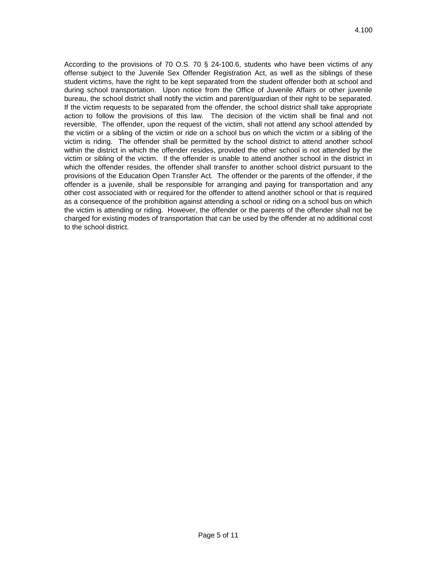According to the provisions of 70 O.S. 70 § 24-100.6, students who have been victims of any offense subject to the Juvenile Sex Offender Registration Act, as well as the siblings of these student victims, have the right to be kept separated from the student offender both at school and during school transportation. Upon notice from the Office of Juvenile Affairs or other juvenile bureau, the school district shall notify the victim and parent/guardian of their right to be separated. If the victim requests to be separated from the offender, the school district shall take appropriate action to follow the provisions of this law. The decision of the victim shall be final and not reversible, The offender, upon the request of the victim, shall not attend any school attended by the victim or a sibling of the victim or ride on a school bus on which the victim or a sibling of the victim is riding. The offender shall be permitted by the school district to attend another school within the district in which the offender resides, provided the other school is not attended by the victim or sibling of the victim. If the offender is unable to attend another school in the district in which the offender resides, the offender shall transfer to another school district pursuant to the provisions of the Education Open Transfer Act. The offender or the parents of the offender, if the offender is a juvenile, shall be responsible for arranging and paying for transportation and any other cost associated with or required for the offender to attend another school or that is required as a consequence of the prohibition against attending a school or riding on a school bus on which the victim is attending or riding. However, the offender or the parents of the offender shall not be charged for existing modes of transportation that can be used by the offender at no additional cost to the school district.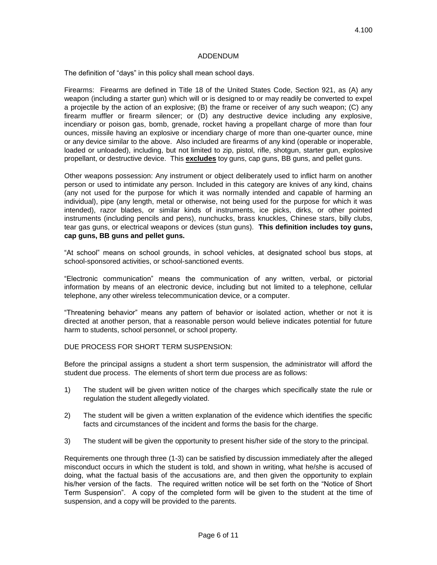#### ADDENDUM

The definition of "days" in this policy shall mean school days.

Firearms: Firearms are defined in Title 18 of the United States Code, Section 921, as (A) any weapon (including a starter gun) which will or is designed to or may readily be converted to expel a projectile by the action of an explosive; (B) the frame or receiver of any such weapon; (C) any firearm muffler or firearm silencer; or (D) any destructive device including any explosive, incendiary or poison gas, bomb, grenade, rocket having a propellant charge of more than four ounces, missile having an explosive or incendiary charge of more than one-quarter ounce, mine or any device similar to the above. Also included are firearms of any kind (operable or inoperable, loaded or unloaded), including, but not limited to zip, pistol, rifle, shotgun, starter gun, explosive propellant, or destructive device. This **excludes** toy guns, cap guns, BB guns, and pellet guns.

Other weapons possession: Any instrument or object deliberately used to inflict harm on another person or used to intimidate any person. Included in this category are knives of any kind, chains (any not used for the purpose for which it was normally intended and capable of harming an individual), pipe (any length, metal or otherwise, not being used for the purpose for which it was intended), razor blades, or similar kinds of instruments, ice picks, dirks, or other pointed instruments (including pencils and pens), nunchucks, brass knuckles, Chinese stars, billy clubs, tear gas guns, or electrical weapons or devices (stun guns). **This definition includes toy guns, cap guns, BB guns and pellet guns.**

"At school" means on school grounds, in school vehicles, at designated school bus stops, at school-sponsored activities, or school-sanctioned events.

"Electronic communication" means the communication of any written, verbal, or pictorial information by means of an electronic device, including but not limited to a telephone, cellular telephone, any other wireless telecommunication device, or a computer.

"Threatening behavior" means any pattern of behavior or isolated action, whether or not it is directed at another person, that a reasonable person would believe indicates potential for future harm to students, school personnel, or school property.

DUE PROCESS FOR SHORT TERM SUSPENSION:

Before the principal assigns a student a short term suspension, the administrator will afford the student due process. The elements of short term due process are as follows:

- 1) The student will be given written notice of the charges which specifically state the rule or regulation the student allegedly violated.
- 2) The student will be given a written explanation of the evidence which identifies the specific facts and circumstances of the incident and forms the basis for the charge.
- 3) The student will be given the opportunity to present his/her side of the story to the principal.

Requirements one through three (1-3) can be satisfied by discussion immediately after the alleged misconduct occurs in which the student is told, and shown in writing, what he/she is accused of doing, what the factual basis of the accusations are, and then given the opportunity to explain his/her version of the facts. The required written notice will be set forth on the "Notice of Short Term Suspension". A copy of the completed form will be given to the student at the time of suspension, and a copy will be provided to the parents.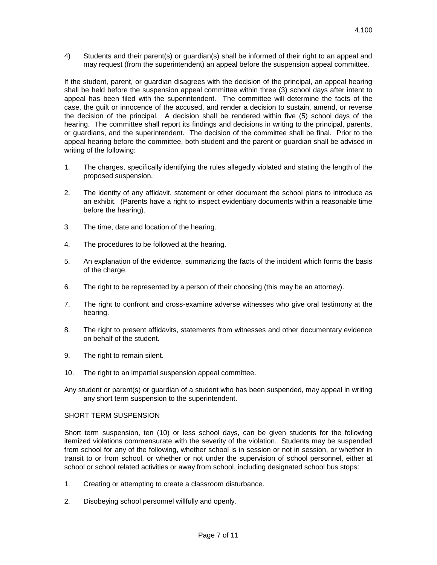4) Students and their parent(s) or guardian(s) shall be informed of their right to an appeal and may request (from the superintendent) an appeal before the suspension appeal committee.

If the student, parent, or guardian disagrees with the decision of the principal, an appeal hearing shall be held before the suspension appeal committee within three (3) school days after intent to appeal has been filed with the superintendent. The committee will determine the facts of the case, the guilt or innocence of the accused, and render a decision to sustain, amend, or reverse the decision of the principal. A decision shall be rendered within five (5) school days of the hearing. The committee shall report its findings and decisions in writing to the principal, parents, or guardians, and the superintendent. The decision of the committee shall be final. Prior to the appeal hearing before the committee, both student and the parent or guardian shall be advised in writing of the following:

- 1. The charges, specifically identifying the rules allegedly violated and stating the length of the proposed suspension.
- 2. The identity of any affidavit, statement or other document the school plans to introduce as an exhibit. (Parents have a right to inspect evidentiary documents within a reasonable time before the hearing).
- 3. The time, date and location of the hearing.
- 4. The procedures to be followed at the hearing.
- 5. An explanation of the evidence, summarizing the facts of the incident which forms the basis of the charge.
- 6. The right to be represented by a person of their choosing (this may be an attorney).
- 7. The right to confront and cross-examine adverse witnesses who give oral testimony at the hearing.
- 8. The right to present affidavits, statements from witnesses and other documentary evidence on behalf of the student.
- 9. The right to remain silent.
- 10. The right to an impartial suspension appeal committee.
- Any student or parent(s) or guardian of a student who has been suspended, may appeal in writing any short term suspension to the superintendent.

### SHORT TERM SUSPENSION

Short term suspension, ten (10) or less school days, can be given students for the following itemized violations commensurate with the severity of the violation. Students may be suspended from school for any of the following, whether school is in session or not in session, or whether in transit to or from school, or whether or not under the supervision of school personnel, either at school or school related activities or away from school, including designated school bus stops:

- 1. Creating or attempting to create a classroom disturbance.
- 2. Disobeying school personnel willfully and openly.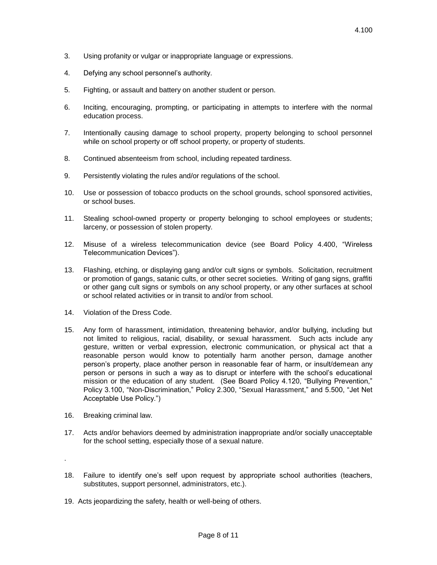- 3. Using profanity or vulgar or inappropriate language or expressions.
- 4. Defying any school personnel's authority.
- 5. Fighting, or assault and battery on another student or person.
- 6. Inciting, encouraging, prompting, or participating in attempts to interfere with the normal education process.
- 7. Intentionally causing damage to school property, property belonging to school personnel while on school property or off school property, or property of students.
- 8. Continued absenteeism from school, including repeated tardiness.
- 9. Persistently violating the rules and/or regulations of the school.
- 10. Use or possession of tobacco products on the school grounds, school sponsored activities, or school buses.
- 11. Stealing school-owned property or property belonging to school employees or students; larceny, or possession of stolen property.
- 12. Misuse of a wireless telecommunication device (see Board Policy 4.400, "Wireless Telecommunication Devices").
- 13. Flashing, etching, or displaying gang and/or cult signs or symbols. Solicitation, recruitment or promotion of gangs, satanic cults, or other secret societies. Writing of gang signs, graffiti or other gang cult signs or symbols on any school property, or any other surfaces at school or school related activities or in transit to and/or from school.
- 14. Violation of the Dress Code.
- 15. Any form of harassment, intimidation, threatening behavior, and/or bullying, including but not limited to religious, racial, disability, or sexual harassment. Such acts include any gesture, written or verbal expression, electronic communication, or physical act that a reasonable person would know to potentially harm another person, damage another person's property, place another person in reasonable fear of harm, or insult/demean any person or persons in such a way as to disrupt or interfere with the school's educational mission or the education of any student. (See Board Policy 4.120, "Bullying Prevention," Policy 3.100, "Non-Discrimination," Policy 2.300, "Sexual Harassment," and 5.500, "Jet Net Acceptable Use Policy.")
- 16. Breaking criminal law.

.

- 17. Acts and/or behaviors deemed by administration inappropriate and/or socially unacceptable for the school setting, especially those of a sexual nature.
- 18. Failure to identify one's self upon request by appropriate school authorities (teachers, substitutes, support personnel, administrators, etc.).
- 19. Acts jeopardizing the safety, health or well-being of others.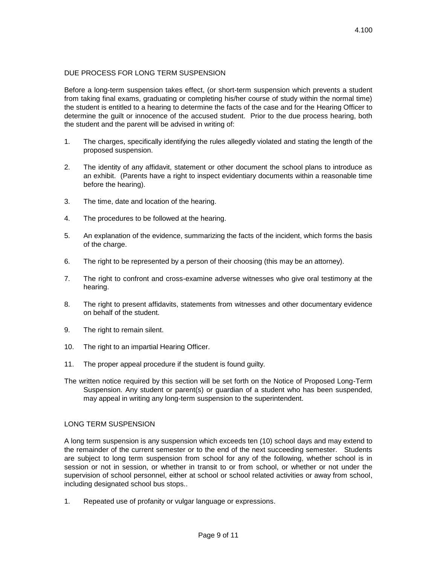## DUE PROCESS FOR LONG TERM SUSPENSION

Before a long-term suspension takes effect, (or short-term suspension which prevents a student from taking final exams, graduating or completing his/her course of study within the normal time) the student is entitled to a hearing to determine the facts of the case and for the Hearing Officer to determine the guilt or innocence of the accused student. Prior to the due process hearing, both the student and the parent will be advised in writing of:

- 1. The charges, specifically identifying the rules allegedly violated and stating the length of the proposed suspension.
- 2. The identity of any affidavit, statement or other document the school plans to introduce as an exhibit. (Parents have a right to inspect evidentiary documents within a reasonable time before the hearing).
- 3. The time, date and location of the hearing.
- 4. The procedures to be followed at the hearing.
- 5. An explanation of the evidence, summarizing the facts of the incident, which forms the basis of the charge.
- 6. The right to be represented by a person of their choosing (this may be an attorney).
- 7. The right to confront and cross-examine adverse witnesses who give oral testimony at the hearing.
- 8. The right to present affidavits, statements from witnesses and other documentary evidence on behalf of the student.
- 9. The right to remain silent.
- 10. The right to an impartial Hearing Officer.
- 11. The proper appeal procedure if the student is found guilty.
- The written notice required by this section will be set forth on the Notice of Proposed Long-Term Suspension. Any student or parent(s) or guardian of a student who has been suspended, may appeal in writing any long-term suspension to the superintendent.

### LONG TERM SUSPENSION

A long term suspension is any suspension which exceeds ten (10) school days and may extend to the remainder of the current semester or to the end of the next succeeding semester. Students are subject to long term suspension from school for any of the following, whether school is in session or not in session, or whether in transit to or from school, or whether or not under the supervision of school personnel, either at school or school related activities or away from school, including designated school bus stops..

1. Repeated use of profanity or vulgar language or expressions.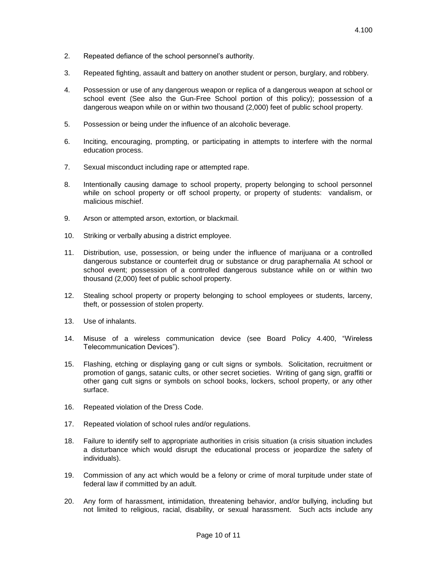- 2. Repeated defiance of the school personnel's authority.
- 3. Repeated fighting, assault and battery on another student or person, burglary, and robbery.
- 4. Possession or use of any dangerous weapon or replica of a dangerous weapon at school or school event (See also the Gun-Free School portion of this policy); possession of a dangerous weapon while on or within two thousand (2,000) feet of public school property.
- 5. Possession or being under the influence of an alcoholic beverage.
- 6. Inciting, encouraging, prompting, or participating in attempts to interfere with the normal education process.
- 7. Sexual misconduct including rape or attempted rape.
- 8. Intentionally causing damage to school property, property belonging to school personnel while on school property or off school property, or property of students: vandalism, or malicious mischief.
- 9. Arson or attempted arson, extortion, or blackmail.
- 10. Striking or verbally abusing a district employee.
- 11. Distribution, use, possession, or being under the influence of marijuana or a controlled dangerous substance or counterfeit drug or substance or drug paraphernalia At school or school event; possession of a controlled dangerous substance while on or within two thousand (2,000) feet of public school property.
- 12. Stealing school property or property belonging to school employees or students, larceny, theft, or possession of stolen property.
- 13. Use of inhalants.
- 14. Misuse of a wireless communication device (see Board Policy 4.400, "Wireless Telecommunication Devices").
- 15. Flashing, etching or displaying gang or cult signs or symbols. Solicitation, recruitment or promotion of gangs, satanic cults, or other secret societies. Writing of gang sign, graffiti or other gang cult signs or symbols on school books, lockers, school property, or any other surface.
- 16. Repeated violation of the Dress Code.
- 17. Repeated violation of school rules and/or regulations.
- 18. Failure to identify self to appropriate authorities in crisis situation (a crisis situation includes a disturbance which would disrupt the educational process or jeopardize the safety of individuals).
- 19. Commission of any act which would be a felony or crime of moral turpitude under state of federal law if committed by an adult.
- 20. Any form of harassment, intimidation, threatening behavior, and/or bullying, including but not limited to religious, racial, disability, or sexual harassment. Such acts include any